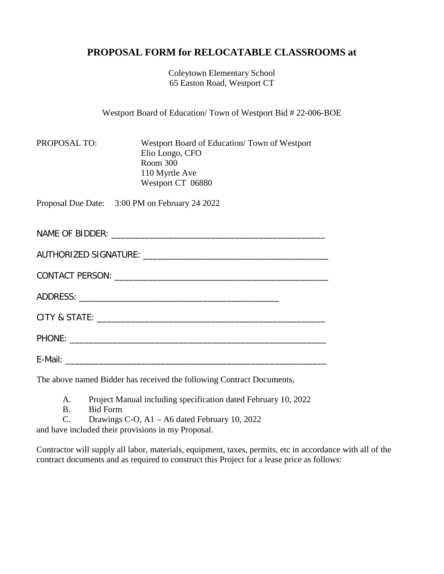# **PROPOSAL FORM for RELOCATABLE CLASSROOMS at**

Coleytown Elementary School 65 Easton Road, Westport CT

Westport Board of Education/ Town of Westport Bid # 22-006-BOE

| <b>PROPOSAL TO:</b> | Westport Board of Education/Town of Westport |
|---------------------|----------------------------------------------|
|                     | Elio Longo, CFO                              |
|                     | Room 300                                     |
|                     | 110 Myrtle Ave                               |
|                     | Westport CT 06880                            |

Proposal Due Date: 3:00 PM on February 24 2022

NAME OF BIDDER: \_\_\_\_\_\_\_\_\_\_\_\_\_\_\_\_\_\_\_\_\_\_\_\_\_\_\_\_\_\_\_\_\_\_\_\_\_\_\_\_\_\_\_\_\_

| AUTHORIZED SIGNATURE: |  |  |
|-----------------------|--|--|
|                       |  |  |

| CONTACT PERSON: |  |
|-----------------|--|
|                 |  |

ADDRESS: \_\_\_\_\_\_\_\_\_\_\_\_\_\_\_\_\_\_\_\_\_\_\_\_\_\_\_\_\_\_\_\_\_\_\_\_\_\_\_\_\_\_

CITY & STATE: **We are all that the state of the state of the state of the state of the state of the state of the state of the state of the state of the state of the state of the state of the state of the state of the state** 

PHONE: \_\_\_\_\_\_\_\_\_\_\_\_\_\_\_\_\_\_\_\_\_\_\_\_\_\_\_\_\_\_\_\_\_\_\_\_\_\_\_\_\_\_\_\_\_\_\_\_\_\_\_\_\_\_

E-Mail: \_\_\_\_\_\_\_\_\_\_\_\_\_\_\_\_\_\_\_\_\_\_\_\_\_\_\_\_\_\_\_\_\_\_\_\_\_\_\_\_\_\_\_\_\_\_\_\_\_\_\_\_\_\_\_

The above named Bidder has received the following Contract Documents,

A. Project Manual including specification dated February 10, 2022

- B. Bid Form
- C. Drawings C-O, A1 A6 dated February 10, 2022

and have included their provisions in my Proposal.

Contractor will supply all labor, materials, equipment, taxes, permits, etc in accordance with all of the contract documents and as required to construct this Project for a lease price as follows: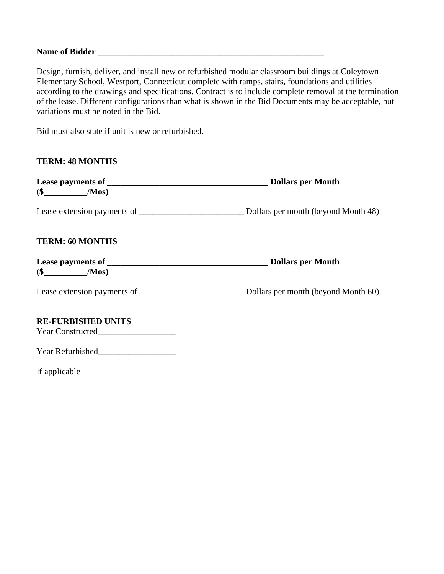### **Name of Bidder \_\_\_\_\_\_\_\_\_\_\_\_\_\_\_\_\_\_\_\_\_\_\_\_\_\_\_\_\_\_\_\_\_\_\_\_\_\_\_\_\_\_\_\_\_\_\_\_\_\_\_\_**

Design, furnish, deliver, and install new or refurbished modular classroom buildings at Coleytown Elementary School, Westport, Connecticut complete with ramps, stairs, foundations and utilities according to the drawings and specifications. Contract is to include complete removal at the termination of the lease. Different configurations than what is shown in the Bid Documents may be acceptable, but variations must be noted in the Bid.

Bid must also state if unit is new or refurbished.

## **TERM: 48 MONTHS**

| $(\$$ /Mos)               | Dollars per Month |  |
|---------------------------|-------------------|--|
|                           |                   |  |
| <b>TERM: 60 MONTHS</b>    |                   |  |
|                           |                   |  |
|                           |                   |  |
| <b>RE-FURBISHED UNITS</b> |                   |  |

Year Constructed\_\_\_\_\_\_\_\_\_\_\_\_\_\_\_\_\_\_

Year Refurbished\_\_\_\_\_\_\_\_\_\_\_\_\_\_\_\_\_\_

If applicable